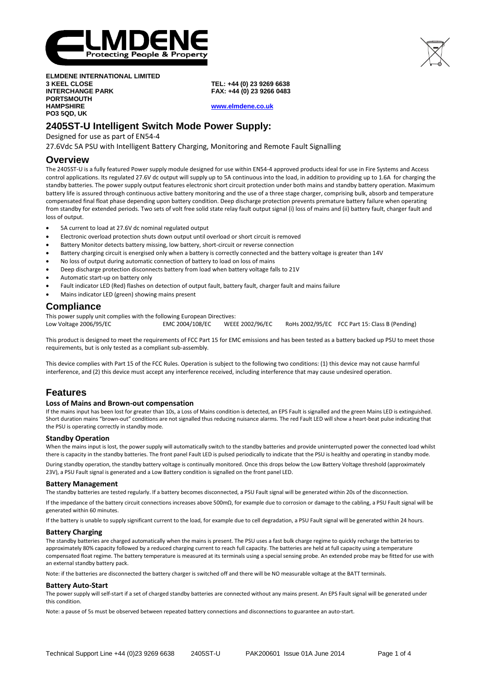

**ELMDENE INTERNATIONAL LIMITED 3 KEEL CLOSE INTERCHANGE PARK PORTSMOUTH HAMPSHIRE PO3 5QD, UK**

**TEL: +44 (0) 23 9269 6638 FAX: +44 (0) 23 9266 0483**

**[www.elmdene.co.uk](http://www.elmdene.co.uk/)**

## **2405ST-U Intelligent Switch Mode Power Supply:**

Designed for use as part of EN54-4

27.6Vdc 5A PSU with Intelligent Battery Charging, Monitoring and Remote Fault Signalling

## **Overview**

The 2405ST-U is a fully featured Power supply module designed for use within EN54-4 approved products ideal for use in Fire Systems and Access control applications. Its regulated 27.6V dc output will supply up to 5A continuous into the load, in addition to providing up to 1.6A for charging the standby batteries. The power supply output features electronic short circuit protection under both mains and standby battery operation. Maximum battery life is assured through continuous active battery monitoring and the use of a three stage charger, comprising bulk, absorb and temperature compensated final float phase depending upon battery condition. Deep discharge protection prevents premature battery failure when operating from standby for extended periods. Two sets of volt free solid state relay fault output signal (i) loss of mains and (ii) battery fault, charger fault and loss of output.

- 5A current to load at 27.6V dc nominal regulated output
- Electronic overload protection shuts down output until overload or short circuit is removed
- Battery Monitor detects battery missing, low battery, short-circuit or reverse connection
- Battery charging circuit is energised only when a battery is correctly connected and the battery voltage is greater than 14V
- No loss of output during automatic connection of battery to load on loss of mains
- Deep discharge protection disconnects battery from load when battery voltage falls to 21V
- Automatic start-up on battery only
- Fault indicator LED (Red) flashes on detection of output fault, battery fault, charger fault and mains failure
- Mains indicator LED (green) showing mains present

## **Compliance**

This power supply unit complies with the following European Directives: Low Voltage 2006/95/EC **EMC 2004/108/EC** WEEE 2002/96/EC RoHs 2002/95/EC FCC Part 15: Class B (Pending)

This product is designed to meet the requirements of FCC Part 15 for EMC emissions and has been tested as a battery backed up PSU to meet those requirements, but is only tested as a compliant sub-assembly.

This device complies with Part 15 of the FCC Rules. Operation is subject to the following two conditions: (1) this device may not cause harmful interference, and (2) this device must accept any interference received, including interference that may cause undesired operation.

## **Features**

#### **Loss of Mains and Brown-out compensation**

If the mains input has been lost for greater than 10s, a Loss of Mains condition is detected, an EPS Fault is signalled and the green Mains LED is extinguished. Short duration mains "brown-out" conditions are not signalled thus reducing nuisance alarms. The red Fault LED will show a heart-beat pulse indicating that the PSU is operating correctly in standby mode.

#### **Standby Operation**

When the mains input is lost, the power supply will automatically switch to the standby batteries and provide uninterrupted power the connected load whilst there is capacity in the standby batteries. The front panel Fault LED is pulsed periodically to indicate that the PSU is healthy and operating in standby mode.

During standby operation, the standby battery voltage is continually monitored. Once this drops below the Low Battery Voltage threshold (approximately 23V), a PSU Fault signal is generated and a Low Battery condition is signalled on the front panel LED.

#### **Battery Management**

The standby batteries are tested regularly. If a battery becomes disconnected, a PSU Fault signal will be generated within 20s of the disconnection.

If the impedance of the battery circuit connections increases above 500mΩ, for example due to corrosion or damage to the cabling, a PSU Fault signal will be generated within 60 minutes.

If the battery is unable to supply significant current to the load, for example due to cell degradation, a PSU Fault signal will be generated within 24 hours.

#### **Battery Charging**

The standby batteries are charged automatically when the mains is present. The PSU uses a fast bulk charge regime to quickly recharge the batteries to approximately 80% capacity followed by a reduced charging current to reach full capacity. The batteries are held at full capacity using a temperature compensated float regime. The battery temperature is measured at its terminals using a special sensing probe. An extended probe may be fitted for use with an external standby battery pack.

Note: if the batteries are disconnected the battery charger is switched off and there will be NO measurable voltage at the BATT terminals.

#### **Battery Auto-Start**

The power supply will self-start if a set of charged standby batteries are connected without any mains present. An EPS Fault signal will be generated under this condition.

Note: a pause of 5s must be observed between repeated battery connections and disconnections to guarantee an auto-start.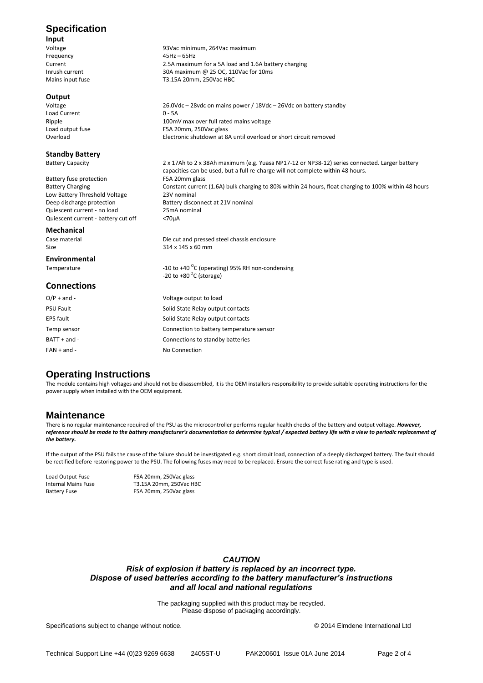# **Specification**

**Input** Frequency Current 2.5A maximum for a 5A load and 1.6A battery charging Inrush current 100 and 30A maximum @ 25 OC, 110Vac for 10ms<br>
Mains input fuse 100 and 30A maximum @ 25 OC, 110Vac for 10ms

# **Output**

Load Current<br>Ripple Ripple 100mV max over full rated mains voltage<br>100mV max over full rated mains voltage<br>100mm, 250Vac glass Load output fuse F5A 20mm, 250Vac glass<br>Overload Felectronic shutdown at 8

# **Standby Battery**<br>Battery Capacity

Battery fuse protection<br>Battery Charging F5A 20mm glass<br>Constant current Low Battery Threshold Voltage 23V nominal<br>Deep discharge protection battery disco Quiescent current - no load 25mA nominal<br>Quiescent current - battery cut off <70µA Quiescent current - battery cut off

# **Mechanical**

Size 314 x 145 x 60 mm

### **Environmental** Temperature

### **Connections**

| $O/P + and -$    | Voltage output to load                   |
|------------------|------------------------------------------|
| <b>PSU Fault</b> | Solid State Relay output contacts        |
| EPS fault        | Solid State Relay output contacts        |
| Temp sensor      | Connection to battery temperature sensor |
| $BAT + and -$    | Connections to standby batteries         |
| $FAN + and -$    | No Connection                            |
|                  |                                          |

## **Operating Instructions**

The module contains high voltages and should not be disassembled, it is the OEM installers responsibility to provide suitable operating instructions for the power supply when installed with the OEM equipment.

93Vac minimum, 264Vac maximum<br>45Hz – 65Hz

Battery disconnect at 21V nominal

 $-20$  to  $+80$ <sup>o</sup>C (storage)

Die cut and pressed steel chassis enclosure

-10 to +40 $\mathrm{^{\circ}C}$  (operating) 95% RH non-condensing

 $26.0Vdc - 28vdc$  on mains power /  $18Vdc - 26Vdc$  on battery standby 0 - 5A

Electronic shutdown at 8A until overload or short circuit removed

capacities can be used, but a full re-charge will not complete within 48 hours.

2 x 17Ah to 2 x 38Ah maximum (e.g. Yuasa NP17-12 or NP38-12) series connected. Larger battery

Constant current (1.6A) bulk charging to 80% within 24 hours, float charging to 100% within 48 hours

T3.15A 20mm, 250Vac HBC

## **Maintenance**

There is no regular maintenance required of the PSU as the microcontroller performs regular health checks of the battery and output voltage. *However, reference should be made to the battery manufacturer's documentation to determine typical / expected battery life with a view to periodic replacement of the battery.* 

If the output of the PSU fails the cause of the failure should be investigated e.g. short circuit load, connection of a deeply discharged battery. The fault should be rectified before restoring power to the PSU. The following fuses may need to be replaced. Ensure the correct fuse rating and type is used.

Load Output Fuse F5A 20mm, 250Vac glass Internal Mains Fuse T3.15A 20mm, 250Vac HBC<br>Battery Fuse F5A 20mm, 250Vac glass F5A 20mm, 250Vac glass

### *CAUTION*

## *Risk of explosion if battery is replaced by an incorrect type. Dispose of used batteries according to the battery manufacturer's instructions and all local and national regulations*

The packaging supplied with this product may be recycled. Please dispose of packaging accordingly.

Specifications subject to change without notice. © 2014 Elmdene International Ltd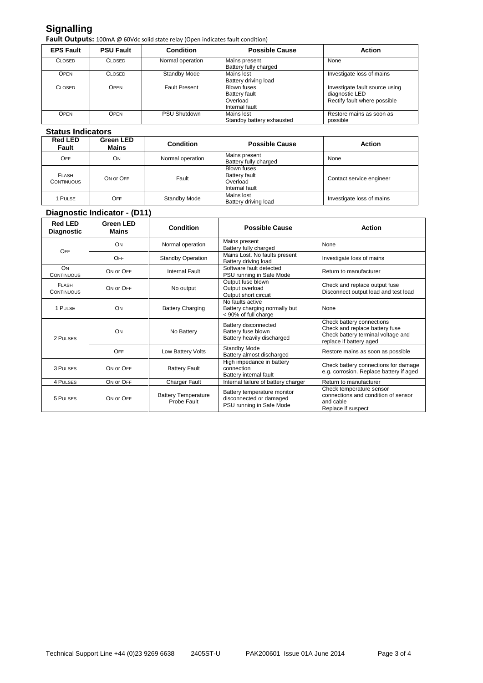# **Signalling**

Fault Outputs: 100mA @ 60Vdc solid state relay (Open indicates fault condition)

| <b>EPS Fault</b> | <b>PSU Fault</b> | <b>Condition</b>     | <b>Possible Cause</b>                                                    | <b>Action</b>                                                                    |
|------------------|------------------|----------------------|--------------------------------------------------------------------------|----------------------------------------------------------------------------------|
| <b>CLOSED</b>    | <b>CLOSED</b>    | Normal operation     | Mains present<br>Battery fully charged                                   | None                                                                             |
| Open             | <b>CLOSED</b>    | Standby Mode         | Mains lost<br>Battery driving load                                       | Investigate loss of mains                                                        |
| <b>CLOSED</b>    | OPEN             | <b>Fault Present</b> | <b>Blown fuses</b><br><b>Battery fault</b><br>Overload<br>Internal fault | Investigate fault source using<br>diagnostic LED<br>Rectify fault where possible |
| OPEN             | <b>OPEN</b>      | <b>PSU Shutdown</b>  | Mains lost<br>Standby battery exhausted                                  | Restore mains as soon as<br>possible                                             |

## **Status Indicators**

| <b>Red LED</b><br>Fault           | <b>Green LED</b><br><b>Mains</b> | <b>Condition</b> | <b>Possible Cause</b>                                                    | <b>Action</b>             |
|-----------------------------------|----------------------------------|------------------|--------------------------------------------------------------------------|---------------------------|
| OFF                               | <b>ON</b>                        | Normal operation | Mains present<br>Battery fully charged                                   | None                      |
| <b>FLASH</b><br><b>CONTINUOUS</b> | ON OF OFF                        | Fault            | <b>Blown fuses</b><br><b>Battery fault</b><br>Overload<br>Internal fault | Contact service engineer  |
| 1 PULSE                           | OFF                              | Standby Mode     | Mains lost<br>Battery driving load                                       | Investigate loss of mains |

## **Diagnostic Indicator - (D11)**

| <b>Red LED</b><br><b>Diagnostic</b> | <b>Green LED</b><br><b>Mains</b> | <b>Condition</b>                          | <b>Possible Cause</b>                                                              | <b>Action</b>                                                                                                                |
|-------------------------------------|----------------------------------|-------------------------------------------|------------------------------------------------------------------------------------|------------------------------------------------------------------------------------------------------------------------------|
| OFF                                 | ON                               | Normal operation                          | Mains present<br>Battery fully charged                                             | None                                                                                                                         |
|                                     | <b>OFF</b>                       | <b>Standby Operation</b>                  | Mains Lost. No faults present<br>Battery driving load                              | Investigate loss of mains                                                                                                    |
| ON<br><b>CONTINUOUS</b>             | ON OF OFF                        | <b>Internal Fault</b>                     | Software fault detected<br>PSU running in Safe Mode                                | Return to manufacturer                                                                                                       |
| <b>FLASH</b><br><b>CONTINUOUS</b>   | ON OF OFF                        | No output                                 | Output fuse blown<br>Output overload<br>Output short circuit                       | Check and replace output fuse<br>Disconnect output load and test load                                                        |
| 1 PULSE                             | ON                               | <b>Battery Charging</b>                   | No faults active<br>Battery charging normally but<br>< 90% of full charge          | None                                                                                                                         |
| 2 PULSES                            | ON                               | No Battery                                | Battery disconnected<br>Battery fuse blown<br>Battery heavily discharged           | Check battery connections<br>Check and replace battery fuse<br>Check battery terminal voltage and<br>replace if battery aged |
|                                     | OFF                              | Low Battery Volts                         | Standby Mode<br>Battery almost discharged                                          | Restore mains as soon as possible                                                                                            |
| 3 PULSES                            | ON OF OFF                        | <b>Battery Fault</b>                      | High impedance in battery<br>connection<br>Battery internal fault                  | Check battery connections for damage<br>e.g. corrosion. Replace battery if aged                                              |
| 4 PULSES                            | ON OF OFF                        | <b>Charger Fault</b>                      | Internal failure of battery charger                                                | Return to manufacturer                                                                                                       |
| 5 PULSES                            | ON OF OFF                        | <b>Battery Temperature</b><br>Probe Fault | Battery temperature monitor<br>disconnected or damaged<br>PSU running in Safe Mode | Check temperature sensor<br>connections and condition of sensor<br>and cable<br>Replace if suspect                           |